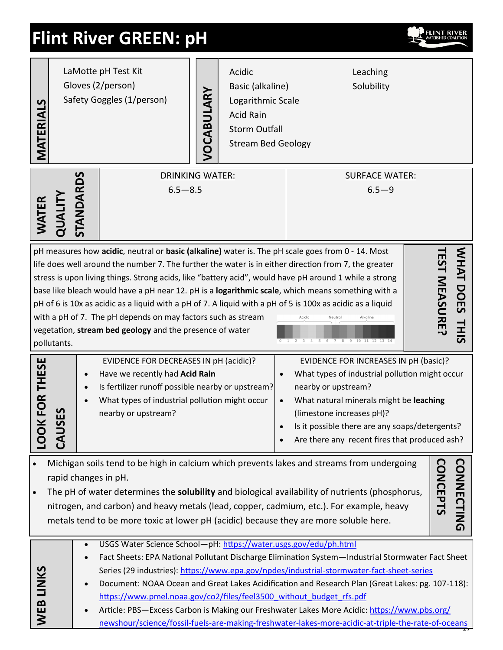# **Flint River GREEN: pH**



| MATERIALS               | LaMotte pH Test Kit<br>Gloves (2/person)<br>Safety Goggles (1/person)                                                                                                                                                                                                                                                                                                                                                                                                                                                                                                                                                                                                                     |           |                                                                                                                                                                                                             | VOCABULARY | Acidic<br>Leaching<br>Solubility<br>Basic (alkaline)<br>Logarithmic Scale<br><b>Acid Rain</b><br><b>Storm Outfall</b><br><b>Stream Bed Geology</b> |                                                                                                                                                                                                                                                                                                                                                                                                                                                                                                                                                                                                                                                                                                   |  |
|-------------------------|-------------------------------------------------------------------------------------------------------------------------------------------------------------------------------------------------------------------------------------------------------------------------------------------------------------------------------------------------------------------------------------------------------------------------------------------------------------------------------------------------------------------------------------------------------------------------------------------------------------------------------------------------------------------------------------------|-----------|-------------------------------------------------------------------------------------------------------------------------------------------------------------------------------------------------------------|------------|----------------------------------------------------------------------------------------------------------------------------------------------------|---------------------------------------------------------------------------------------------------------------------------------------------------------------------------------------------------------------------------------------------------------------------------------------------------------------------------------------------------------------------------------------------------------------------------------------------------------------------------------------------------------------------------------------------------------------------------------------------------------------------------------------------------------------------------------------------------|--|
| WATER                   | QUAL                                                                                                                                                                                                                                                                                                                                                                                                                                                                                                                                                                                                                                                                                      | STANDARDS | DRINKING WATER:<br>$6.5 - 8.5$                                                                                                                                                                              |            |                                                                                                                                                    | <b>SURFACE WATER:</b><br>$6.5 - 9$                                                                                                                                                                                                                                                                                                                                                                                                                                                                                                                                                                                                                                                                |  |
|                         | pollutants.                                                                                                                                                                                                                                                                                                                                                                                                                                                                                                                                                                                                                                                                               | $\bullet$ | with a pH of 7. The pH depends on may factors such as stream<br>vegetation, stream bed geology and the presence of water<br><b>EVIDENCE FOR DECREASES IN pH (acidic)?</b><br>Have we recently had Acid Rain |            |                                                                                                                                                    | pH measures how acidic, neutral or basic (alkaline) water is. The pH scale goes from 0 - 14. Most<br>WHAT DOES<br>EST MEASURE<br>life does well around the number 7. The further the water is in either direction from 7, the greater<br>stress is upon living things. Strong acids, like "battery acid", would have pH around 1 while a strong<br>base like bleach would have a pH near 12. pH is a logarithmic scale, which means something with a<br>pH of 6 is 10x as acidic as a liquid with a pH of 7. A liquid with a pH of 5 is 100x as acidic as a liquid<br><b>THIS</b><br>9 10 11 12<br><b>EVIDENCE FOR INCREASES IN pH (basic)?</b><br>What types of industrial pollution might occur |  |
| FOR THESE<br><b>OOT</b> | <b>UAC</b>                                                                                                                                                                                                                                                                                                                                                                                                                                                                                                                                                                                                                                                                                | $\bullet$ | Is fertilizer runoff possible nearby or upstream?<br>What types of industrial pollution might occur<br>nearby or upstream?                                                                                  |            |                                                                                                                                                    | nearby or upstream?<br>What natural minerals might be leaching<br>$\bullet$<br>(limestone increases pH)?<br>Is it possible there are any soaps/detergents?<br>Are there any recent fires that produced ash?                                                                                                                                                                                                                                                                                                                                                                                                                                                                                       |  |
|                         | Michigan soils tend to be high in calcium which prevents lakes and streams from undergoing<br><b>CONCEPTS</b><br><b>CONNECTING</b><br>rapid changes in pH.<br>The pH of water determines the solubility and biological availability of nutrients (phosphorus,<br>nitrogen, and carbon) and heavy metals (lead, copper, cadmium, etc.). For example, heavy<br>metals tend to be more toxic at lower pH (acidic) because they are more soluble here.                                                                                                                                                                                                                                        |           |                                                                                                                                                                                                             |            |                                                                                                                                                    |                                                                                                                                                                                                                                                                                                                                                                                                                                                                                                                                                                                                                                                                                                   |  |
| WEB LINKS               | USGS Water Science School-pH: https://water.usgs.gov/edu/ph.html<br>$\bullet$<br>Fact Sheets: EPA National Pollutant Discharge Elimination System-Industrial Stormwater Fact Sheet<br>$\bullet$<br>Series (29 industries): https://www.epa.gov/npdes/industrial-stormwater-fact-sheet-series<br>Document: NOAA Ocean and Great Lakes Acidification and Research Plan (Great Lakes: pg. 107-118):<br>$\bullet$<br>https://www.pmel.noaa.gov/co2/files/feel3500 without budget rfs.pdf<br>Article: PBS-Excess Carbon is Making our Freshwater Lakes More Acidic: https://www.pbs.org/<br>newshour/science/fossil-fuels-are-making-freshwater-lakes-more-acidic-at-triple-the-rate-of-oceans |           |                                                                                                                                                                                                             |            |                                                                                                                                                    |                                                                                                                                                                                                                                                                                                                                                                                                                                                                                                                                                                                                                                                                                                   |  |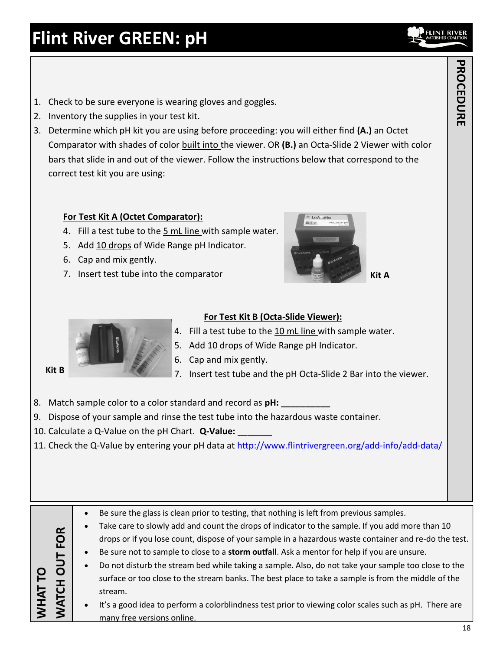- 1. Check to be sure everyone is wearing gloves and goggles.
- 2. Inventory the supplies in your test kit.
- 3. Determine which pH kit you are using before proceeding: you will either find **(A.)** an Octet Comparator with shades of color built into the viewer. OR **(B.)** an Octa-Slide 2 Viewer with color bars that slide in and out of the viewer. Follow the instructions below that correspond to the correct test kit you are using:

# **For Test Kit A (Octet Comparator):**

- 4. Fill a test tube to the 5 mL line with sample water.
- 5. Add 10 drops of Wide Range pH Indicator.
- 6. Cap and mix gently.
- 7. Insert test tube into the comparator





## **For Test Kit B (Octa-Slide Viewer):**

- 4. Fill a test tube to the 10 mL line with sample water.
- 5. Add 10 drops of Wide Range pH Indicator.
- 6. Cap and mix gently.
- 7. Insert test tube and the pH Octa-Slide 2 Bar into the viewer.
- 8. Match sample color to a color standard and record as **pH**:
- 9. Dispose of your sample and rinse the test tube into the hazardous waste container.
- 10. Calculate a Q-Value on the pH Chart. **Q-Value:** \_\_\_\_\_\_\_

many free versions online.

11. Check the Q-Value by entering your pH data at [http://www.flintrivergreen.org/add](http://www.flintrivergreen.org/add-info/add-data/)-info/add-data/

**Kit B** 

 Be sure the glass is clean prior to testing, that nothing is left from previous samples. Take care to slowly add and count the drops of indicator to the sample. If you add more than 10 drops or if you lose count, dispose of your sample in a hazardous waste container and re-do the test. Be sure not to sample to close to a **storm outfall**. Ask a mentor for help if you are unsure. Do not disturb the stream bed while taking a sample. Also, do not take your sample too close to the surface or too close to the stream banks. The best place to take a sample is from the middle of the stream. It's a good idea to perform a colorblindness test prior to viewing color scales such as pH. There are